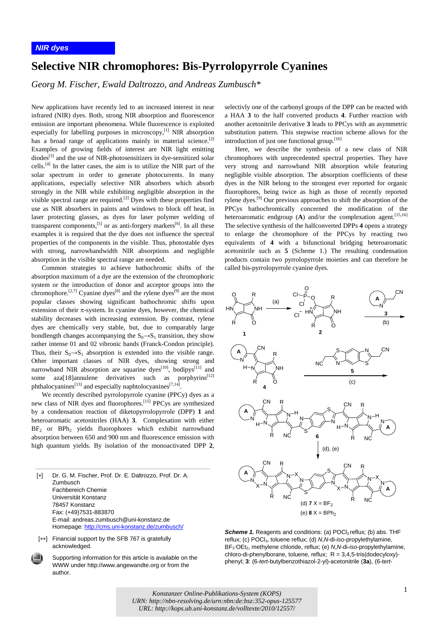## **Selective NIR chromophores: Bis-Pyrrolopyrrole Cyanines**

*Georg M. Fischer, Ewald Daltrozzo, and Andreas Zumbusch\**

New applications have recently led to an increased interest in near infrared (NIR) dyes. Both, strong NIR absorption and fluorescence emission are important phenomena. While fluorescence is exploited especially for labelling purposes in microscopy,<sup>[1]</sup> NIR absorption has a broad range of applications mainly in material science.<sup>[2]</sup> Examples of growing fields of interest are NIR light emitting diodes<sup>[3]</sup> and the use of NIR-photosensitizers in dye-sensitized solar cells.[4] In the latter cases, the aim is to utilize the NIR part of the solar spectrum in order to generate photocurrents. In many applications, especially selective NIR absorbers which absorb strongly in the NIR while exhibiting negligible absorption in the visible spectral range are required.[2] Dyes with these properties find use as NIR absorbers in paints and windows to block off heat, in laser protecting glasses, as dyes for laser polymer welding of transparent components,<sup>[5]</sup> or as anti-forgery markers<sup>[6]</sup>. In all these examples it is required that the dye does not influence the spectral properties of the components in the visible. Thus, photostable dyes with strong, narrowbandwidth NIR absorptions and negligible absorption in the visible spectral range are needed.

Common strategies to achieve bathochromic shifts of the absorption maximum of a dye are the extension of the chromophoric system or the introduction of donor and acceptor groups into the chromophore.<sup>[2,7]</sup> Cyanine dyes<sup>[8]</sup> and the rylene dyes<sup>[9]</sup> are the most popular classes showing significant bathochromic shifts upon extension of their  $\pi$ -system. In cyanine dyes, however, the chemical stability decreases with increasing extension. By contrast, rylene dyes are chemically very stable, but, due to comparably large bondlength changes accompanying the  $S_0 \rightarrow S_1$  transition, they show rather intense 01 and 02 vibronic bands (Franck-Condon principle). Thus, their  $S_0 \rightarrow S_1$  absorption is extended into the visible range. Other important classes of NIR dyes, showing strong and narrowband NIR absorption are squarine dyes<sup>[10]</sup>, bodipys<sup>[11]</sup> and some  $aza[18]$ annulene derivatives such as porphyrins<sup>[12]</sup> phthalocyanines<sup>[13]</sup> and especially naphtolocyanines<sup>[7,14]</sup>.

We recently described pyrrolopyrrole cyanine (PPCy) dyes as a new class of NIR dyes and fluorophores.[15] PPCys are synthesized by a condensation reaction of diketopyrrolopyrrole (DPP) **1** and heteroaromatic acetonitriles (HAA) **3**. Complexation with either  $BF<sub>2</sub>$  or  $BPh<sub>2</sub>$  yields fluorophores which exhibit narrowband absorption between 650 and 900 nm and fluorescence emission with high quantum yields. By isolation of the monoactivated DPP **2**,

| [*] | Dr. G. M. Fischer, Prof. Dr. E. Daltrozzo, Prof. Dr. A. |  |  |  |  |
|-----|---------------------------------------------------------|--|--|--|--|
|     | Zumbusch                                                |  |  |  |  |
|     | <b>Fachbereich Chemie</b>                               |  |  |  |  |
|     | Universität Konstanz                                    |  |  |  |  |
|     | 78457 Konstanz                                          |  |  |  |  |
|     | Fax: (+49)7531-883870                                   |  |  |  |  |
|     | E-mail: andreas.zumbusch@uni-konstanz.de                |  |  |  |  |
|     | Homepage: http://cms.uni-konstanz.de/zumbusch/          |  |  |  |  |
|     |                                                         |  |  |  |  |

 [∗∗] Financial support by the SFB 767 is gratefully acknowledged.

Supporting information for this article is available on the WWW under http://www.angewandte.org or from the author.

selectivly one of the carbonyl groups of the DPP can be reacted with a HAA **3** to the half converted products **4**. Further reaction with another acetonitrile derivative **3** leads to PPCys with an asymmetric substitution pattern. This stepwise reaction scheme allows for the introduction of just one functional group.[16]

Here, we describe the synthesis of a new class of NIR chromophores with unprecedented spectral properties. They have very strong and narrowband NIR absorption while featuring negligible visible absorption. The absorption coefficients of these dyes in the NIR belong to the strongest ever reported for organic fluorophores, being twice as high as those of recently reported rylene dyes.[9] Our previous approaches to shift the absorption of the PPCys bathochromically concerned the modification of the heteroaromatic endgroup  $(A)$  and/or the complexation agent.<sup>[15,16]</sup> The selective synthesis of the halfconverted DPPs **4** opens a strategy to enlarge the chromophore of the PPCys by reacting two equivalents of **4** with a bifunctional bridging heteroaromatic acetonitrile such as **5** (Scheme 1.) The resulting condensation products contain two pyrrolopyrrole moieties and can therefore be called bis-pyrrolopyrrole cyanine dyes.



**Scheme 1.** Reagents and conditions: (a) POCI<sub>3</sub> reflux; (b) abs. THF reflux; (c) POCl3, toluene reflux; (d) *N*,*N*-di-*iso*-propylethylamine, BF3·OEt2, methylene chloride, reflux; (e) *N*,*N*-di-*iso*-propylethylamine, chloro-di-phenylborane, toluene, reflux;  $R = 3.4.5$ -tris(dodecyloxy)phenyl; **3**: (6-*tert*-butylbenzothiazol-2-yl)-acetonitrile (**3a**), (6-*tert*-

*Konstanzer Online-Publikations-System (KOPS) URN: <http://nbn-resolving.de/urn:nbn:de:bsz:352-opus-125577> URL:<http://kops.ub.uni-konstanz.de/volltexte/2010/12557/>*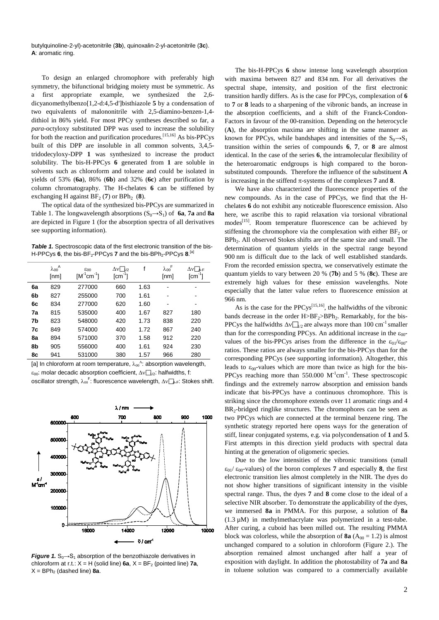butylquinoline-2-yl)-acetonitrile (**3b**), quinoxalin-2-yl-acetonitrile (**3c**). **A**: aromatic ring.

To design an enlarged chromophore with preferably high symmetry, the bifunctional bridging moiety must be symmetric. As a first appropriate example, we synthesized the 2,6 dicyanomethylbenzo[1,2-d:4,5-d']bisthiazole **5** by a condensation of two equivalents of malononitrile with 2,5-diamino-benzen-1,4 dithiol in 86% yield. For most PPCy syntheses described so far, a *para*-octyloxy substituted DPP was used to increase the solubility for both the reaction and purification procedures.[15,16] As bis-PPCys built of this DPP are insoluble in all common solvents, 3,4,5 tridodecyloxy-DPP **1** was synthesized to increase the product solubility. The bis-H-PPCys **6** generated from **1** are soluble in solvents such as chloroform and toluene and could be isolated in yields of 53% (**6a**), 86% (**6b**) and 32% (**6c**) after purification by column chromatography. The H-chelates **6** can be stiffened by exchanging H against  $BF_2$  (7) or  $BPh_2$  (8).

The optical data of the synthesized bis-PPCys are summarized in Table 1. The longwavelength absorptions  $(S_0 \rightarrow S_1)$  of **6a**, **7a** and **8a** are depicted in Figure 1 (for the absorption spectra of all derivatives see supporting information).

**Table 1.** Spectroscopic data of the first electronic transition of the bis-H-PPCys 6, the bis-BF<sub>2</sub>-PPCys 7 and the bis-BPh<sub>2</sub>-PPCys 8.<sup>[a]</sup>

|    | $\lambda_{00}^{\text{A}}$<br>[nm] | $\epsilon_{00}$<br>$[M^{-1}cm^{-1}]$ | $\Delta v$ $\vert v_2 \vert$<br>$[cm^{-1}]$ | f    | F<br>$\lambda_{00}$<br>[nm] | ∆vI ∤⊩F<br>$\text{[cm}^{-1}$ |
|----|-----------------------------------|--------------------------------------|---------------------------------------------|------|-----------------------------|------------------------------|
| 6a | 829                               | 277000                               | 660                                         | 1.63 |                             |                              |
| 6b | 827                               | 255000                               | 700                                         | 1.61 | -                           | -                            |
| 6c | 834                               | 277000                               | 620                                         | 1.60 |                             | -                            |
| 7a | 815                               | 535000                               | 400                                         | 1.67 | 827                         | 180                          |
| 7b | 823                               | 548000                               | 420                                         | 1.73 | 838                         | 220                          |
| 7c | 849                               | 574000                               | 400                                         | 1.72 | 867                         | 240                          |
| 8а | 894                               | 571000                               | 370                                         | 1.58 | 912                         | 220                          |
| 8b | 905                               | 556000                               | 400                                         | 1.61 | 924                         | 230                          |
| 8c | 941                               | 531000                               | 380                                         | 1.57 | 966                         | 280                          |

[a] In chloroform at room temperature,  $\lambda_{00}$ <sup>A</sup>: absorption wavelength,  $ε_{00}$ : molar decadic absorption coefficient,  $Δν_2$ : halfwidths, f:

oscillator strength,  $\lambda_{00}$ <sup>F</sup>: fluorescence wavelength,  $\Delta$ ν $\Box_{\lambda}$ <sub>F</sub>: Stokes shift.



*Figure 1.*  $S_0 \rightarrow S_1$  absorption of the benzothiazole derivatives in chloroform at r.t.:  $X = H$  (solid line)  $6a$ ,  $X = BF_2$  (pointed line)  $7a$ ,  $X = BPh<sub>2</sub>$  (dashed line)  $8a$ .

The bis-H-PPCys **6** show intense long wavelength absorption with maxima between 827 and 834 nm. For all derivatives the spectral shape, intensity, and position of the first electronic transition hardly differs. As is the case for PPCys, complexation of **6** to **7** or **8** leads to a sharpening of the vibronic bands, an increase in the absorption coefficients, and a shift of the Franck-Condon-Factors in favour of the 00-transition. Depending on the heterocycle (**A**), the absorption maxima are shifting in the same manner as known for PPCys, while bandshapes and intensities of the  $S_0 \rightarrow S_1$ transition within the series of compounds **6**, **7**, or **8** are almost identical. In the case of the series **6**, the intramolecular flexibility of the heteroaromatic endgroups is high compared to the boronsubstituted compounds. Therefore the influence of the substituent **A** is increasing in the stiffend π-systems of the complexes **7** and **8**.

We have also characterized the fluorescence properties of the new compounds. As in the case of PPCys, we find that the Hchelates **6** do not exhibit any noticeable fluorescence emission. Also here, we ascribe this to rapid relaxation via torsional vibrational modes<sup>[15]</sup>. Room temperature fluorescence can be achieved by stiffening the chromophore via the complexation with either  $BF<sub>2</sub>$  or BPh<sub>2</sub>. All observed Stokes shifts are of the same size and small. The determination of quantum yields in the spectral range beyond 900 nm is difficult due to the lack of well established standards. From the recorded emission spectra, we conservatively estimate the quantum yields to vary between 20 % (**7b**) and 5 % (**8c**). These are extremely high values for these emission wavelengths. Note especially that the latter value refers to fluorescence emission at 966 nm.

As is the case for the PPCys[15,16], the halfwidths of the vibronic bands decrease in the order  $H>BF_2>BPh_2$ . Remarkably, for the bis-PPCys the halfwidths  $\Delta v|_{2}$  are always more than 100 cm<sup>-1</sup> smaller than for the corresponding PPCys. An additional increase in the  $\varepsilon_{00}$ values of the bis-PPCys arises from the difference in the  $\varepsilon_{01}/\varepsilon_{00}$ ratios. These ratios are always smaller for the bis-PPCys than for the corresponding PPCys (see supporting information). Altogether, this leads to  $\varepsilon_{00}$ -values which are more than twice as high for the bis-PPCys reaching more than 550.000  $M^{-1}cm^{-1}$ . These spectroscopic findings and the extremely narrow absorption and emission bands indicate that bis-PPCys have a continuous chromophore. This is striking since the chromophore extends over 11 aromatic rings and 4 BR<sub>2</sub>-bridged ringlike structures. The chromophores can be seen as two PPCys which are connected at the terminal benzene ring. The synthetic strategy reported here opens ways for the generation of stiff, linear conjugated systems, e.g. via polycondensation of **1** and **5**. First attempts in this direction yield products with spectral data hinting at the generation of oligomeric species.

Due to the low intensities of the vibronic transitions (small  $\varepsilon_{01}/\varepsilon_{00}$ -values) of the boron complexes **7** and especially **8**, the first electronic transition lies almost completely in the NIR. The dyes do not show higher transitions of significant intensity in the visible spectral range. Thus, the dyes **7** and **8** come close to the ideal of a selective NIR absorber. To demonstrate the applicability of the dyes, we immersed **8a** in PMMA. For this purpose, a solution of **8a**   $(1.3 \mu M)$  in methylmethacrylate was polymerized in a test-tube. After curing, a cuboid has been milled out. The resulting PMMA block was colorless, while the absorption of **8a** ( $A_{00} = 1.2$ ) is almost unchanged compared to a solution in chloroform (Figure 2.). The absorption remained almost unchanged after half a year of exposition with daylight. In addition the photostability of **7a** and **8a**  in toluene solution was compared to a commercially available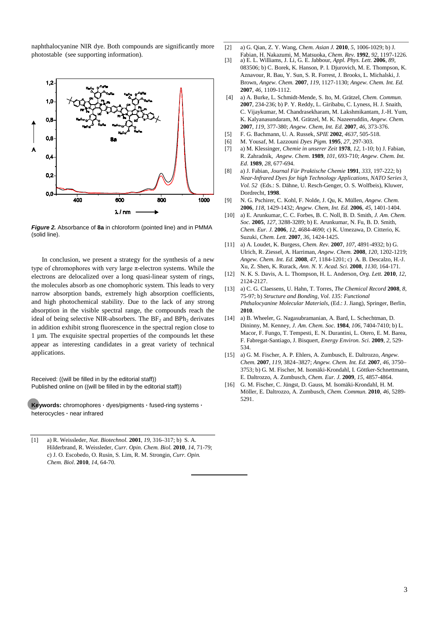naphthalocyanine NIR dye. Both compounds are significantly more photostable (see supporting information).



*Figure 2.* Absorbance of **8a** in chloroform (pointed line) and in PMMA (solid line).

In conclusion, we present a strategy for the synthesis of a new type of chromophores with very large  $\pi$ -electron systems. While the electrons are delocalized over a long quasi-linear system of rings, the molecules absorb as one chomophoric system. This leads to very narrow absorption bands, extremely high absorption coefficients, and high photochemical stability. Due to the lack of any strong absorption in the visible spectral range, the compounds reach the ideal of being selective NIR-absorbers. The  $BF<sub>2</sub>$  and  $BPh<sub>2</sub>$  derivates in addition exhibit strong fluorescence in the spectral region close to 1 µm. The exquisite spectral properties of the compounds let these appear as interesting candidates in a great variety of technical applications.

Received: ((will be filled in by the editorial staff)) Published online on ((will be filled in by the editorial staff))

**Keywords:** chromophores **·** dyes/pigments **·** fused-ring systems **·** heterocycles **·** near infrared

[1] a) R. Weissleder, *Nat. Biotechnol.* **2001**, *19*, 316–317; b) S. A. Hilderbrand, R. Weissleder, *Curr. Opin. Chem. Biol.* **2010**, *14*, 71-79; c) J. O. Escobedo, O. Rusin, S. Lim, R. M. Strongin, *Curr. Opin. Chem. Biol*. **2010**, *14*, 64-70.

- [2] a) G. Qian, Z. Y. Wang, *Chem. Asian J.* **2010**, *5*, 1006-1029; b) J. Fabian, H. Nakazumi, M. Matsuoka, *Chem. Rev.* **1992**, *92*, 1197-1226.
- [3] a) E. L. Williams, J. Li, G. E. Jabbour, *Appl. Phys. Lett.* **2006**, *89*, 083506; b) C. Borek, K. Hanson, P. I. Djurovich, M. E. Thompson, K. Aznavour, R. Bau, Y. Sun, S. R. Forrest, J. Brooks, L. Michalski, J. Brown, *Angew. Chem.* **2007**, *119*, 1127-1130; *Angew. Chem. Int. Ed.* **2007**, *46*, 1109-1112.
- [4] a) A. Burke, L. Schmidt-Mende, S. Ito, M. Grätzel, *Chem. Commun.* **2007**, 234-236; b) P. Y. Reddy, L. Giribabu, C. Lyness, H. J. Snaith, C. Vijaykumar, M. Chandrasekharam, M. Lakshmikantam, J.-H. Yum, K. Kalyanasundaram, M. Grätzel, M. K. Nazeeruddin, *Angew. Chem.*  **2007**, *119*, 377-380; *Angew. Chem, Int. Ed.* **2007**, *46*, 373-376.
- [5] F. G. Bachmann, U. A. Russek, *SPIE* **2002**, *4637*, 505-518.
- [6] M. Yousaf, M. Lazzouni *Dyes Pigm.* **1995**, *27*, 297-303.
- [7] a) M. Klessinger, *Chemie in unserer Zeit* **1978**, *12*, 1-10; b) J. Fabian, R. Zahradnik, *Angew. Chem.* **1989**, *101*, 693-710; *Angew. Chem. Int. Ed.* **1989**, *28*, 677-694.
- [8] a) J. Fabian, *Journal Für Praktische Chemie* **1991**, *333*, 197-222; b) *Near-Infrared Dyes for high Technology Applications, NATO Series 3, Vol. 52* (Eds.: S. Dähne, U. Resch-Genger, O. S. Wolfbeis), Kluwer, Dordrecht, **1998**.
- [9] N. G. Pschirer, C. Kohl, F. Nolde, J. Qu, K. Müllen, *Angew. Chem.*  **2006**, *118*, 1429-1432; *Angew. Chem, Int. Ed.* **2006**, *45*, 1401-1404.
- [10] a) E. Arunkumar, C. C. Forbes, B. C. Noll, B. D. Smith, *J. Am. Chem. Soc.* **2005**, *127*, 3288-3289; b) E. Arunkumar, N. Fu, B. D. Smith, *Chem. Eur. J.* **2006**, *12*, 4684-4690; c) K. Umezawa, D. Citterio, K. Suzuki, *Chem. Lett.* **2007**, *36*, 1424-1425.
- [11] a) A. Loudet, K. Burgess, *Chem. Rev.* **2007**, *107*, 4891-4932; b) G. Ulrich, R. Ziessel, A. Harriman, *Angew. Chem.* **2008**, *120*, 1202-1219; *Angew. Chem. Int. Ed.* **2008**, *47*, 1184-1201; c) A. B. Descalzo, H.-J. Xu, Z. Shen, K. Rurack, *Ann. N. Y. Acad. Sci.* **2008**, *1130*, 164-171.
- [12] N. K. S. Davis, A. L. Thompson, H. L. Anderson, *Org. Lett.* **2010**, *12*, 2124-2127.
- [13] a) C. G. Claessens, U. Hahn, T. Torres, *The Chemical Record* **2008**, *8*, 75-97; b) *Structure and Bonding, Vol. 135: Functional Phthalocyanine Molecular Materials*, (Ed.: J. Jiang), Springer, Berlin, **2010**.
- [14] a) B. Wheeler, G. Nagasubramanian, A. Bard, L. Schechtman, D. Dininny, M. Kenney, *J. Am. Chem. Soc.* **1984**, *106*, 7404-7410; b) L. Macor, F. Fungo, T. Tempesti, E. N. Durantini, L. Otero, E. M. Barea, F. Fabregat-Santiago, J. Bisquert, *Energy Environ. Sci.* **2009**, *2*, 529- 534.
- [15] a) G. M. Fischer, A. P. Ehlers, A. Zumbusch, E. Daltrozzo, *Angew. Chem.* **2007**, *119*, 3824–3827; *Angew. Chem. Int. Ed.* **2007**, *46*, 3750– 3753; b) G. M. Fischer, M. Isomäki-Krondahl, I. Göttker-Schnettmann, E. Daltrozzo, A. Zumbusch, *Chem. Eur. J.* **2009**, *15*, 4857-4864.
- [16] G. M. Fischer, C. Jüngst, D. Gauss, M. Isomäki-Krondahl, H. M. Möller, E. Daltrozzo, A. Zumbusch, *Chem. Commun.* **2010**, *46*, 5289- 5291.